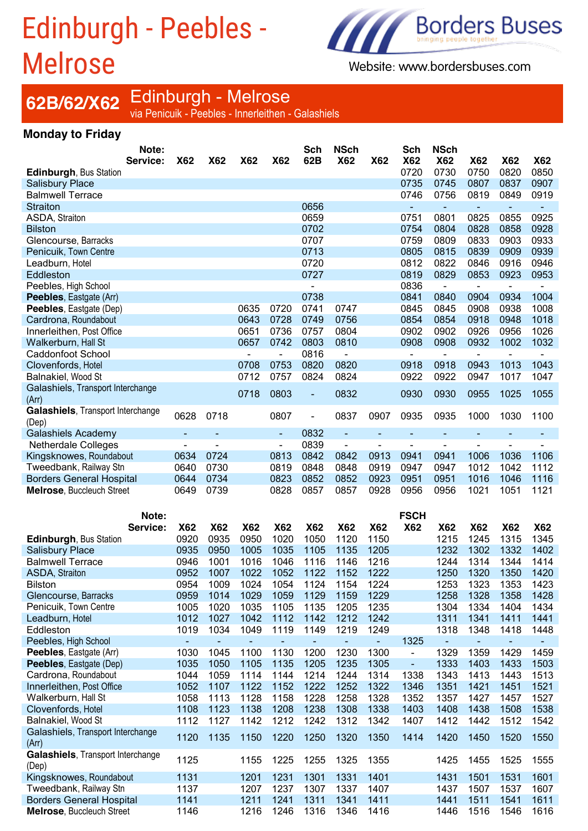## Edinburgh - Peebles - Melrose



Website: www.bordersbuses.com

# **62B/62/X62** Edinburgh - Melrose<br><sub>via Penicuik - Peebles - Innerleithen - Galashiels</sub>

#### **Monday to Friday**

|                                                              | Note:    |                |                |                |                          | Sch            | <b>NSch</b>              |              | Sch                          | NSch           |                |                              |                |
|--------------------------------------------------------------|----------|----------------|----------------|----------------|--------------------------|----------------|--------------------------|--------------|------------------------------|----------------|----------------|------------------------------|----------------|
|                                                              | Service: | <b>X62</b>     | <b>X62</b>     | X62            | <b>X62</b>               | 62B            | <b>X62</b>               | <b>X62</b>   | <b>X62</b>                   | <b>X62</b>     | <b>X62</b>     | <b>X62</b>                   | <b>X62</b>     |
| <b>Edinburgh, Bus Station</b>                                |          |                |                |                |                          |                |                          |              | 0720                         | 0730           | 0750           | 0820                         | 0850           |
| <b>Salisbury Place</b>                                       |          |                |                |                |                          |                |                          |              | 0735                         | 0745           | 0807           | 0837                         | 0907           |
| <b>Balmwell Terrace</b>                                      |          |                |                |                |                          |                |                          |              | 0746                         | 0756           | 0819           | 0849                         | 0919           |
| <b>Straiton</b>                                              |          |                |                |                |                          | 0656           |                          |              |                              |                | $\blacksquare$ | $\blacksquare$               |                |
|                                                              |          |                |                |                |                          |                |                          |              |                              | $\blacksquare$ |                |                              |                |
| ASDA, Straiton                                               |          |                |                |                |                          | 0659           |                          |              | 0751                         | 0801           | 0825           | 0855                         | 0925           |
| <b>Bilston</b>                                               |          |                |                |                |                          | 0702           |                          |              | 0754                         | 0804           | 0828           | 0858                         | 0928           |
| Glencourse, Barracks                                         |          |                |                |                |                          | 0707           |                          |              | 0759                         | 0809           | 0833           | 0903                         | 0933           |
| Penicuik, Town Centre                                        |          |                |                |                |                          | 0713           |                          |              | 0805                         | 0815           | 0839           | 0909                         | 0939           |
| Leadburn, Hotel                                              |          |                |                |                |                          | 0720           |                          |              | 0812                         | 0822           | 0846           | 0916                         | 0946           |
| Eddleston                                                    |          |                |                |                |                          | 0727           |                          |              | 0819                         | 0829           | 0853           | 0923                         | 0953           |
| Peebles, High School                                         |          |                |                |                |                          |                |                          |              | 0836                         | $\blacksquare$ | $\blacksquare$ | $\blacksquare$               |                |
| Peebles, Eastgate (Arr)                                      |          |                |                |                |                          | 0738           |                          |              | 0841                         | 0840           | 0904           | 0934                         | 1004           |
| Peebles, Eastgate (Dep)                                      |          |                |                | 0635           | 0720                     | 0741           | 0747                     |              | 0845                         | 0845           | 0908           | 0938                         | 1008           |
| Cardrona, Roundabout                                         |          |                |                | 0643           | 0728                     | 0749           | 0756                     |              | 0854                         | 0854           | 0918           | 0948                         | 1018           |
|                                                              |          |                |                | 0651           | 0736                     |                |                          |              | 0902                         |                |                |                              |                |
| Innerleithen, Post Office                                    |          |                |                |                |                          | 0757           | 0804                     |              |                              | 0902           | 0926           | 0956                         | 1026           |
| Walkerburn, Hall St                                          |          |                |                | 0657           | 0742                     | 0803           | 0810                     |              | 0908                         | 0908           | 0932           | 1002                         | 1032           |
| <b>Caddonfoot School</b>                                     |          |                |                | $\blacksquare$ | $\blacksquare$           | 0816           | $\blacksquare$           |              | $\overline{\phantom{0}}$     | $\blacksquare$ | $\blacksquare$ | $\blacksquare$               |                |
| Clovenfords, Hotel                                           |          |                |                | 0708           | 0753                     | 0820           | 0820                     |              | 0918                         | 0918           | 0943           | 1013                         | 1043           |
| Balnakiel, Wood St                                           |          |                |                | 0712           | 0757                     | 0824           | 0824                     |              | 0922                         | 0922           | 0947           | 1017                         | 1047           |
| Galashiels, Transport Interchange                            |          |                |                |                |                          |                |                          |              |                              |                |                |                              |                |
| (Arr)                                                        |          |                |                | 0718           | 0803                     | $\blacksquare$ | 0832                     |              | 0930                         | 0930           | 0955           | 1025                         | 1055           |
| Galashiels, Transport Interchange                            |          |                |                |                |                          |                |                          |              |                              |                |                |                              |                |
| (Dep)                                                        |          | 0628           | 0718           |                | 0807                     | L,             | 0837                     | 0907         | 0935                         | 0935           | 1000           | 1030                         | 1100           |
|                                                              |          |                |                |                |                          | 0832           | $\blacksquare$           |              |                              |                |                |                              |                |
| Galashiels Academy                                           |          |                |                |                | ٠                        |                |                          |              |                              |                |                |                              |                |
| <b>Netherdale Colleges</b>                                   |          | $\blacksquare$ | $\blacksquare$ |                | $\overline{\phantom{0}}$ | 0839           | $\overline{\phantom{a}}$ |              | $\overline{a}$               | $\blacksquare$ |                | L.                           |                |
| Kingsknowes, Roundabout                                      |          | 0634           | 0724           |                | 0813                     | 0842           | 0842                     | 0913         | 0941                         | 0941           | 1006           | 1036                         | 1106           |
| Tweedbank, Railway Stn                                       |          | 0640           | 0730           |                | 0819                     | 0848           | 0848                     | 0919         | 0947                         | 0947           | 1012           | 1042                         | 1112           |
|                                                              |          |                |                |                | 0823                     | 0852           | 0852                     |              | 0951                         | 0951           | 1016           | 1046                         |                |
| <b>Borders General Hospital</b>                              |          | 0644           | 0734           |                |                          |                |                          | 0923         |                              |                |                |                              | 1116           |
| <b>Melrose, Buccleuch Street</b>                             |          | 0649           | 0739           |                | 0828                     | 0857           | 0857                     | 0928         | 0956                         | 0956           | 1021           | 1051                         | 1121           |
|                                                              |          |                |                |                |                          |                |                          |              |                              |                |                |                              |                |
|                                                              |          |                |                |                |                          |                |                          |              |                              |                |                |                              |                |
|                                                              | Note:    |                |                |                |                          |                |                          |              | <b>FSCH</b>                  |                |                |                              |                |
|                                                              | Service: | <b>X62</b>     | <b>X62</b>     | <b>X62</b>     | <b>X62</b>               | <b>X62</b>     | <b>X62</b>               | <b>X62</b>   | <b>X62</b>                   | <b>X62</b>     | <b>X62</b>     | <b>X62</b>                   | <b>X62</b>     |
| Edinburgh, Bus Station                                       |          | 0920           | 0935           | 0950           | 1020                     | 1050           | 1120                     | 1150         |                              | 1215           | 1245           | 1315                         | 1345           |
| <b>Salisbury Place</b>                                       |          | 0935           | 0950           | 1005           | 1035                     | 1105           | 1135                     | 1205         |                              | 1232           | 1302           | 1332                         | 1402           |
| <b>Balmwell Terrace</b>                                      |          | 0946           | 1001           | 1016           | 1046                     | 1116           | 1146                     | 1216         |                              | 1244           | 1314           | 1344                         | 1414           |
| <b>ASDA, Straiton</b>                                        |          | 0952           | 1007           | 1022           | 1052                     | 1122           | 1152                     | 1222         |                              | 1250           | 1320           | 1350                         | 1420           |
|                                                              |          | 0954           |                | 1024           | 1054                     | 1124           | 1154                     | 1224         |                              |                | 1323           |                              |                |
| <b>Bilston</b>                                               |          |                | 1009           |                |                          |                |                          |              |                              | 1253           |                | 1353                         | 1423           |
| Glencourse, Barracks                                         |          | 0959           | 1014           | 1029           | 1059                     | 1129           | 1159                     | 1229         |                              | 1258           | 1328           | 1358                         | 1428           |
| Penicuik, Town Centre                                        |          | 1005           | 1020           | 1035           | 1105                     | 1135           | 1205                     | 1235         |                              | 1304           | 1334           | 1404                         | 1434           |
| Leadburn, Hotel                                              |          | 1012           | 1027           | 1042           | 1112                     | 1142           | 1212                     | 1242         |                              | 1311           | 1341           | 1411                         | 1441           |
| Eddleston                                                    |          | 1019           | 1034           | 1049           | 1119                     | 1149           | 1219                     | 1249         |                              | 1318           | 1348           | 1418                         | 1448           |
| Peebles, High School                                         |          | $\blacksquare$ | ÷,             | ÷,             | ٠                        | $\equiv$       | ÷,                       | $\equiv$     | 1325                         | $\blacksquare$ | $\blacksquare$ | $\qquad \qquad \blacksquare$ | $\blacksquare$ |
| Peebles, Eastgate (Arr)                                      |          | 1030           | 1045           | 1100           | 1130                     | 1200           | 1230                     | 1300         | $\qquad \qquad \blacksquare$ | 1329           | 1359           | 1429                         | 1459           |
| Peebles, Eastgate (Dep)                                      |          | 1035           | 1050           | 1105           | 1135                     | 1205           | 1235                     | 1305         | ÷,                           | 1333           | 1403           | 1433                         | 1503           |
| Cardrona, Roundabout                                         |          | 1044           | 1059           | 1114           | 1144                     | 1214           | 1244                     | 1314         | 1338                         | 1343           | 1413           | 1443                         | 1513           |
| Innerleithen, Post Office                                    |          | 1052           | 1107           | 1122           | 1152                     |                | 1252                     | 1322         | 1346                         | 1351           | 1421           | 1451                         | 1521           |
|                                                              |          |                |                |                |                          | 1222           |                          |              |                              |                |                |                              |                |
| Walkerburn, Hall St                                          |          | 1058           | 1113           | 1128           | 1158                     | 1228           | 1258                     | 1328         | 1352                         | 1357           | 1427           | 1457                         | 1527           |
| Clovenfords, Hotel                                           |          | 1108           | 1123           | 1138           | 1208                     | 1238           | 1308                     | 1338         | 1403                         | 1408           | 1438           | 1508                         | 1538           |
| Balnakiel, Wood St                                           |          | 1112           | 1127           | 1142           | 1212                     | 1242           | 1312                     | 1342         | 1407                         | 1412           | 1442           | 1512                         | 1542           |
| Galashiels, Transport Interchange                            |          | 1120           | 1135           | 1150           | 1220                     | 1250           | 1320                     | 1350         | 1414                         | 1420           | 1450           | 1520                         | 1550           |
| (Arr)                                                        |          |                |                |                |                          |                |                          |              |                              |                |                |                              |                |
| Galashiels, Transport Interchange                            |          |                |                |                |                          |                |                          |              |                              |                |                |                              |                |
| (Dep)                                                        |          | 1125           |                | 1155           | 1225                     | 1255           | 1325                     | 1355         |                              | 1425           | 1455           | 1525                         | 1555           |
| Kingsknowes, Roundabout                                      |          | 1131           |                | 1201           | 1231                     | 1301           | 1331                     | 1401         |                              | 1431           | 1501           | 1531                         | 1601           |
| Tweedbank, Railway Stn                                       |          | 1137           |                | 1207           | 1237                     | 1307           | 1337                     | 1407         |                              | 1437           | 1507           | 1537                         | 1607           |
| <b>Borders General Hospital</b><br>Melrose, Buccleuch Street |          | 1141<br>1146   |                | 1211<br>1216   | 1241                     | 1311<br>1316   | 1341<br>1346             | 1411<br>1416 |                              | 1441           | 1511<br>1516   | 1541<br>1546                 | 1611<br>1616   |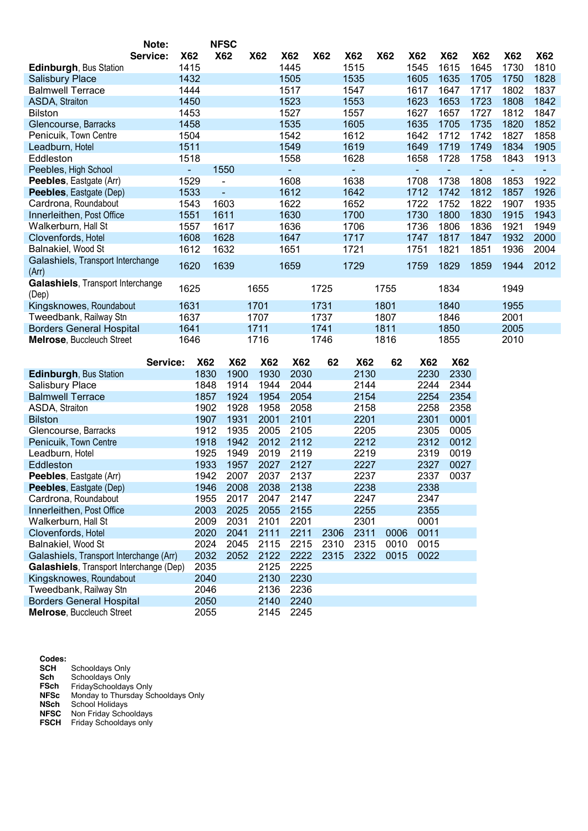|                                                               | Note:           |              | <b>NFSC</b>    |              |              |              |              |              |              |                |                |                |                |
|---------------------------------------------------------------|-----------------|--------------|----------------|--------------|--------------|--------------|--------------|--------------|--------------|----------------|----------------|----------------|----------------|
|                                                               | Service:<br>X62 |              | <b>X62</b>     | <b>X62</b>   | <b>X62</b>   | <b>X62</b>   | X62          | <b>X62</b>   | <b>X62</b>   | X62            | <b>X62</b>     | <b>X62</b>     | <b>X62</b>     |
| <b>Edinburgh, Bus Station</b>                                 | 1415            |              |                |              | 1445         |              | 1515         |              | 1545         | 1615           | 1645           | 1730           | 1810           |
| <b>Salisbury Place</b>                                        | 1432            |              |                |              | 1505         |              | 1535         |              | 1605         | 1635           | 1705           | 1750           | 1828           |
| <b>Balmwell Terrace</b>                                       | 1444            |              |                |              | 1517         |              | 1547         |              | 1617         | 1647           | 1717           | 1802           | 1837           |
| ASDA, Straiton                                                | 1450            |              |                |              | 1523         |              | 1553         |              | 1623         | 1653           | 1723           | 1808           | 1842           |
| <b>Bilston</b>                                                | 1453            |              |                |              | 1527         |              | 1557         |              | 1627         | 1657           | 1727           | 1812           | 1847           |
| Glencourse, Barracks                                          | 1458            |              |                |              | 1535         |              | 1605         |              | 1635         | 1705           | 1735           | 1820           | 1852           |
| Penicuik, Town Centre                                         | 1504            |              |                |              | 1542         |              | 1612         |              | 1642         | 1712           | 1742           | 1827           | 1858           |
| Leadburn, Hotel                                               | 1511            |              |                |              | 1549         |              | 1619         |              | 1649         | 1719           | 1749           | 1834           | 1905           |
| Eddleston                                                     | 1518            |              |                |              | 1558         |              | 1628         |              | 1658         | 1728           | 1758           | 1843           | 1913           |
| Peebles, High School                                          | Ξ.              |              | 1550           |              | ÷            |              | ÷            |              | $\equiv$     | $\blacksquare$ | $\blacksquare$ | $\blacksquare$ | $\blacksquare$ |
| Peebles, Eastgate (Arr)                                       | 1529            |              | $\overline{a}$ |              | 1608         |              | 1638         |              | 1708         | 1738           | 1808           | 1853           | 1922           |
| Peebles, Eastgate (Dep)                                       | 1533            |              | ÷              |              | 1612         |              | 1642         |              | 1712         | 1742           | 1812           | 1857           | 1926           |
| Cardrona, Roundabout                                          | 1543            |              | 1603           |              | 1622         |              | 1652         |              | 1722         | 1752           | 1822           | 1907           | 1935           |
| Innerleithen, Post Office                                     | 1551            |              | 1611           |              | 1630         |              | 1700         |              | 1730         | 1800           | 1830           | 1915           | 1943           |
| Walkerburn, Hall St                                           | 1557            |              | 1617           |              | 1636         |              | 1706         |              | 1736         | 1806           | 1836           | 1921           | 1949           |
| Clovenfords, Hotel                                            | 1608            |              | 1628           |              | 1647         |              | 1717         |              | 1747         | 1817           | 1847           | 1932           | 2000           |
| Balnakiel, Wood St                                            | 1612            |              | 1632           |              | 1651         |              | 1721         |              | 1751         | 1821           | 1851           | 1936           | 2004           |
| Galashiels, Transport Interchange                             |                 |              |                |              |              |              |              |              |              |                |                |                |                |
| (Arr)                                                         | 1620            |              | 1639           |              | 1659         |              | 1729         |              | 1759         | 1829           | 1859           | 1944           | 2012           |
| Galashiels, Transport Interchange                             |                 |              |                |              |              |              |              |              |              |                |                |                |                |
| (Dep)                                                         | 1625            |              |                | 1655         |              | 1725         |              | 1755         |              | 1834           |                | 1949           |                |
| Kingsknowes, Roundabout                                       | 1631            |              |                | 1701         |              | 1731         |              | 1801         |              | 1840           |                | 1955           |                |
| Tweedbank, Railway Stn                                        | 1637            |              |                | 1707         |              | 1737         |              | 1807         |              | 1846           |                | 2001           |                |
| <b>Borders General Hospital</b>                               | 1641            |              |                | 1711         |              | 1741         |              | 1811         |              | 1850           |                | 2005           |                |
| Melrose, Buccleuch Street                                     | 1646            |              |                | 1716         |              | 1746         |              | 1816         |              | 1855           |                | 2010           |                |
|                                                               |                 |              |                |              |              |              |              |              |              |                |                |                |                |
|                                                               | Service:        |              |                |              |              |              |              |              |              |                |                |                |                |
| Edinburgh, Bus Station                                        |                 | X62          | <b>X62</b>     | <b>X62</b>   | <b>X62</b>   | 62           | <b>X62</b>   | 62           | <b>X62</b>   | <b>X62</b>     |                |                |                |
|                                                               |                 | 1830         | 1900           | 1930         | 2030         |              | 2130         |              | 2230         | 2330           |                |                |                |
| Salisbury Place                                               |                 | 1848         | 1914           | 1944         | 2044         |              | 2144         |              | 2244         | 2344           |                |                |                |
| <b>Balmwell Terrace</b>                                       |                 | 1857         | 1924           | 1954         | 2054         |              | 2154         |              | 2254         | 2354           |                |                |                |
| ASDA, Straiton                                                |                 | 1902         | 1928           | 1958         | 2058         |              | 2158         |              | 2258         | 2358           |                |                |                |
| <b>Bilston</b>                                                |                 | 1907         | 1931           | 2001         | 2101         |              | 2201         |              | 2301         | 0001           |                |                |                |
| Glencourse, Barracks                                          |                 | 1912         | 1935           | 2005         | 2105         |              | 2205         |              | 2305         | 0005           |                |                |                |
| Penicuik, Town Centre                                         |                 | 1918         | 1942           | 2012         | 2112         |              | 2212         |              | 2312         | 0012           |                |                |                |
| Leadburn, Hotel                                               |                 | 1925         | 1949           | 2019         | 2119         |              | 2219         |              | 2319         | 0019           |                |                |                |
| Eddleston                                                     |                 | 1933         | 1957           | 2027         | 2127         |              | 2227         |              | 2327         | 0027           |                |                |                |
| Peebles, Eastgate (Arr)                                       |                 | 1942         | 2007           | 2037         | 2137         |              | 2237         |              | 2337         | 0037           |                |                |                |
| Peebles, Eastgate (Dep)                                       |                 | 1946         | 2008           | 2038         | 2138         |              | 2238         |              | 2338         |                |                |                |                |
| Cardrona, Roundabout                                          |                 | 1955         | 2017           | 2047         | 2147         |              | 2247         |              | 2347         |                |                |                |                |
| Innerleithen, Post Office                                     |                 |              | 2025           | 2055         |              |              |              |              | 2355         |                |                |                |                |
|                                                               |                 | 2003         |                |              | 2155         |              | 2255         |              | 0001         |                |                |                |                |
| Walkerburn, Hall St                                           |                 | 2009         | 2031           | 2101         | 2201         |              | 2301         | 0006         |              |                |                |                |                |
| Clovenfords, Hotel                                            |                 | 2020         | 2041           | 2111         | 2211         | 2306         | 2311<br>2315 |              | 0011         |                |                |                |                |
| Balnakiel, Wood St<br>Galashiels, Transport Interchange (Arr) |                 | 2024<br>2032 | 2045<br>2052   | 2115<br>2122 | 2215<br>2222 | 2310<br>2315 | 2322         | 0010<br>0015 | 0015<br>0022 |                |                |                |                |
| Galashiels, Transport Interchange (Dep)                       |                 |              |                |              |              |              |              |              |              |                |                |                |                |
|                                                               |                 | 2035         |                | 2125         | 2225         |              |              |              |              |                |                |                |                |
| Kingsknowes, Roundabout                                       |                 | 2040         |                | 2130<br>2136 | 2230         |              |              |              |              |                |                |                |                |
| Tweedbank, Railway Stn<br><b>Borders General Hospital</b>     |                 | 2046<br>2050 |                | 2140         | 2236<br>2240 |              |              |              |              |                |                |                |                |

**Codes: SCH** Schooldays Only **Sch** Schooldays Only **FSch** FridaySchooldays Only **NFSc** Monday to Thursday Schooldays Only **NSch** School Holidays **NFSC** Non Friday Schooldays **FSCH** Friday Schooldays only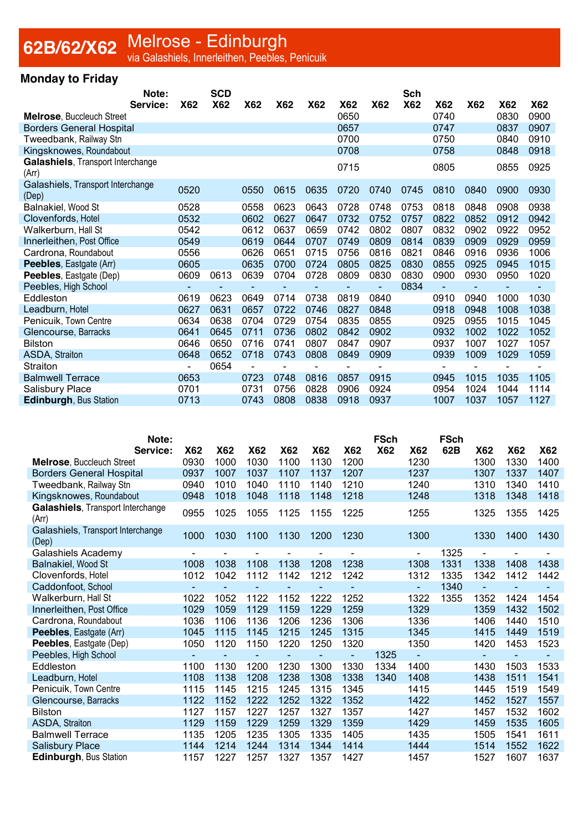### **62B/62/X62** Melrose - Edinburgh<br>via Galashiels, Innerleithen, Peebles, Penicuik

#### **Monday to Friday**

|                                            | Note:    |            | <b>SCD</b> |      |            |            |                          |                | Sch        |                          |            |                          |            |
|--------------------------------------------|----------|------------|------------|------|------------|------------|--------------------------|----------------|------------|--------------------------|------------|--------------------------|------------|
|                                            | Service: | <b>X62</b> | <b>X62</b> | X62  | <b>X62</b> | <b>X62</b> | <b>X62</b>               | <b>X62</b>     | <b>X62</b> | <b>X62</b>               | <b>X62</b> | <b>X62</b>               | <b>X62</b> |
| Melrose, Buccleuch Street                  |          |            |            |      |            |            | 0650                     |                |            | 0740                     |            | 0830                     | 0900       |
| <b>Borders General Hospital</b>            |          |            |            |      |            |            | 0657                     |                |            | 0747                     |            | 0837                     | 0907       |
| Tweedbank, Railway Stn                     |          |            |            |      |            |            | 0700                     |                |            | 0750                     |            | 0840                     | 0910       |
| Kingsknowes, Roundabout                    |          |            |            |      |            |            | 0708                     |                |            | 0758                     |            | 0848                     | 0918       |
| Galashiels, Transport Interchange<br>(Arr) |          |            |            |      |            |            | 0715                     |                |            | 0805                     |            | 0855                     | 0925       |
| Galashiels, Transport Interchange<br>(Dep) |          | 0520       |            | 0550 | 0615       | 0635       | 0720                     | 0740           | 0745       | 0810                     | 0840       | 0900                     | 0930       |
| Balnakiel, Wood St                         |          | 0528       |            | 0558 | 0623       | 0643       | 0728                     | 0748           | 0753       | 0818                     | 0848       | 0908                     | 0938       |
| Clovenfords, Hotel                         |          | 0532       |            | 0602 | 0627       | 0647       | 0732                     | 0752           | 0757       | 0822                     | 0852       | 0912                     | 0942       |
| Walkerburn, Hall St                        |          | 0542       |            | 0612 | 0637       | 0659       | 0742                     | 0802           | 0807       | 0832                     | 0902       | 0922                     | 0952       |
| Innerleithen, Post Office                  |          | 0549       |            | 0619 | 0644       | 0707       | 0749                     | 0809           | 0814       | 0839                     | 0909       | 0929                     | 0959       |
| Cardrona, Roundabout                       |          | 0556       |            | 0626 | 0651       | 0715       | 0756                     | 0816           | 0821       | 0846                     | 0916       | 0936                     | 1006       |
| Peebles, Eastgate (Arr)                    |          | 0605       |            | 0635 | 0700       | 0724       | 0805                     | 0825           | 0830       | 0855                     | 0925       | 0945                     | 1015       |
| Peebles, Eastgate (Dep)                    |          | 0609       | 0613       | 0639 | 0704       | 0728       | 0809                     | 0830           | 0830       | 0900                     | 0930       | 0950                     | 1020       |
| Peebles, High School                       |          |            |            |      |            |            | $\overline{\phantom{0}}$ | $\blacksquare$ | 0834       | $\overline{\phantom{0}}$ |            | $\overline{\phantom{0}}$ |            |
| Eddleston                                  |          | 0619       | 0623       | 0649 | 0714       | 0738       | 0819                     | 0840           |            | 0910                     | 0940       | 1000                     | 1030       |
| Leadburn, Hotel                            |          | 0627       | 0631       | 0657 | 0722       | 0746       | 0827                     | 0848           |            | 0918                     | 0948       | 1008                     | 1038       |
| Penicuik, Town Centre                      |          | 0634       | 0638       | 0704 | 0729       | 0754       | 0835                     | 0855           |            | 0925                     | 0955       | 1015                     | 1045       |
| Glencourse, Barracks                       |          | 0641       | 0645       | 0711 | 0736       | 0802       | 0842                     | 0902           |            | 0932                     | 1002       | 1022                     | 1052       |
| <b>Bilston</b>                             |          | 0646       | 0650       | 0716 | 0741       | 0807       | 0847                     | 0907           |            | 0937                     | 1007       | 1027                     | 1057       |
| ASDA, Straiton                             |          | 0648       | 0652       | 0718 | 0743       | 0808       | 0849                     | 0909           |            | 0939                     | 1009       | 1029                     | 1059       |
| Straiton                                   |          |            | 0654       |      |            |            |                          |                |            |                          |            |                          |            |
| <b>Balmwell Terrace</b>                    |          | 0653       |            | 0723 | 0748       | 0816       | 0857                     | 0915           |            | 0945                     | 1015       | 1035                     | 1105       |
| <b>Salisbury Place</b>                     |          | 0701       |            | 0731 | 0756       | 0828       | 0906                     | 0924           |            | 0954                     | 1024       | 1044                     | 1114       |
| <b>Edinburgh, Bus Station</b>              |          | 0713       |            | 0743 | 0808       | 0838       | 0918                     | 0937           |            | 1007                     | 1037       | 1057                     | 1127       |

| Note:                                      |            |            |      |            |            |            | <b>FSch</b> |                          | <b>FSch</b> |                          |                          |            |
|--------------------------------------------|------------|------------|------|------------|------------|------------|-------------|--------------------------|-------------|--------------------------|--------------------------|------------|
| Service:                                   | <b>X62</b> | <b>X62</b> | X62  | <b>X62</b> | <b>X62</b> | <b>X62</b> | <b>X62</b>  | <b>X62</b>               | 62B         | <b>X62</b>               | <b>X62</b>               | <b>X62</b> |
| <b>Melrose, Buccleuch Street</b>           | 0930       | 1000       | 1030 | 1100       | 1130       | 1200       |             | 1230                     |             | 1300                     | 1330                     | 1400       |
| <b>Borders General Hospital</b>            | 0937       | 1007       | 1037 | 1107       | 1137       | 1207       |             | 1237                     |             | 1307                     | 1337                     | 1407       |
| Tweedbank, Railway Stn                     | 0940       | 1010       | 1040 | 1110       | 1140       | 1210       |             | 1240                     |             | 1310                     | 1340                     | 1410       |
| Kingsknowes, Roundabout                    | 0948       | 1018       | 1048 | 1118       | 1148       | 1218       |             | 1248                     |             | 1318                     | 1348                     | 1418       |
| Galashiels, Transport Interchange<br>(Arr) | 0955       | 1025       | 1055 | 1125       | 1155       | 1225       |             | 1255                     |             | 1325                     | 1355                     | 1425       |
| Galashiels, Transport Interchange<br>(Dep) | 1000       | 1030       | 1100 | 1130       | 1200       | 1230       |             | 1300                     |             | 1330                     | 1400                     | 1430       |
| Galashiels Academy                         |            |            |      |            |            |            |             | $\overline{\phantom{0}}$ | 1325        |                          |                          |            |
| Balnakiel, Wood St                         | 1008       | 1038       | 1108 | 1138       | 1208       | 1238       |             | 1308                     | 1331        | 1338                     | 1408                     | 1438       |
| Clovenfords, Hotel                         | 1012       | 1042       | 1112 | 1142       | 1212       | 1242       |             | 1312                     | 1335        | 1342                     | 1412                     | 1442       |
| Caddonfoot, School                         |            |            |      |            |            |            |             | $\blacksquare$           | 1340        | $\overline{\phantom{a}}$ | $\blacksquare$           |            |
| Walkerburn, Hall St                        | 1022       | 1052       | 1122 | 1152       | 1222       | 1252       |             | 1322                     | 1355        | 1352                     | 1424                     | 1454       |
| Innerleithen, Post Office                  | 1029       | 1059       | 1129 | 1159       | 1229       | 1259       |             | 1329                     |             | 1359                     | 1432                     | 1502       |
| Cardrona, Roundabout                       | 1036       | 1106       | 1136 | 1206       | 1236       | 1306       |             | 1336                     |             | 1406                     | 1440                     | 1510       |
| Peebles, Eastgate (Arr)                    | 1045       | 1115       | 1145 | 1215       | 1245       | 1315       |             | 1345                     |             | 1415                     | 1449                     | 1519       |
| <b>Peebles, Eastgate (Dep)</b>             | 1050       | 1120       | 1150 | 1220       | 1250       | 1320       |             | 1350                     |             | 1420                     | 1453                     | 1523       |
| Peebles, High School                       |            |            |      |            |            |            | 1325        |                          |             |                          | $\overline{\phantom{a}}$ | ۰          |
| Eddleston                                  | 1100       | 1130       | 1200 | 1230       | 1300       | 1330       | 1334        | 1400                     |             | 1430                     | 1503                     | 1533       |
| Leadburn, Hotel                            | 1108       | 1138       | 1208 | 1238       | 1308       | 1338       | 1340        | 1408                     |             | 1438                     | 1511                     | 1541       |
| Penicuik, Town Centre                      | 1115       | 1145       | 1215 | 1245       | 1315       | 1345       |             | 1415                     |             | 1445                     | 1519                     | 1549       |
| Glencourse, Barracks                       | 1122       | 1152       | 1222 | 1252       | 1322       | 1352       |             | 1422                     |             | 1452                     | 1527                     | 1557       |
| <b>Bilston</b>                             | 1127       | 1157       | 1227 | 1257       | 1327       | 1357       |             | 1427                     |             | 1457                     | 1532                     | 1602       |
| ASDA, Straiton                             | 1129       | 1159       | 1229 | 1259       | 1329       | 1359       |             | 1429                     |             | 1459                     | 1535                     | 1605       |
| <b>Balmwell Terrace</b>                    | 1135       | 1205       | 1235 | 1305       | 1335       | 1405       |             | 1435                     |             | 1505                     | 1541                     | 1611       |
| <b>Salisbury Place</b>                     | 1144       | 1214       | 1244 | 1314       | 1344       | 1414       |             | 1444                     |             | 1514                     | 1552                     | 1622       |
| <b>Edinburgh, Bus Station</b>              | 1157       | 1227       | 1257 | 1327       | 1357       | 1427       |             | 1457                     |             | 1527                     | 1607                     | 1637       |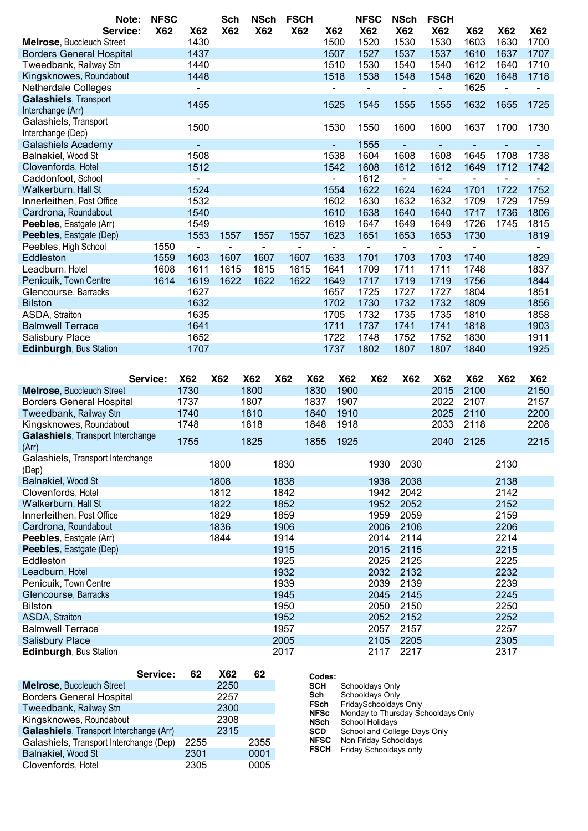|                                                  | Note:    | <b>NFSC</b> |                          | Sch        | <b>NSch</b>    |              | <b>FSCH</b> |                          | <b>NFSC</b>    | <b>NSch</b>       | <b>FSCH</b>              |            |              |                |
|--------------------------------------------------|----------|-------------|--------------------------|------------|----------------|--------------|-------------|--------------------------|----------------|-------------------|--------------------------|------------|--------------|----------------|
|                                                  | Service: | <b>X62</b>  | <b>X62</b>               | <b>X62</b> | <b>X62</b>     |              | <b>X62</b>  | <b>X62</b>               | <b>X62</b>     | <b>X62</b>        | <b>X62</b>               | <b>X62</b> | <b>X62</b>   | <b>X62</b>     |
| <b>Melrose, Buccleuch Street</b>                 |          |             | 1430                     |            |                |              |             | 1500                     | 1520           | 1530              | 1530                     | 1603       | 1630         | 1700           |
| <b>Borders General Hospital</b>                  |          |             | 1437                     |            |                |              |             | 1507                     | 1527           | 1537              | 1537                     | 1610       | 1637         | 1707           |
| Tweedbank, Railway Stn                           |          |             | 1440                     |            |                |              |             | 1510                     | 1530           | 1540              | 1540                     | 1612       | 1640         | 1710           |
| Kingsknowes, Roundabout                          |          |             | 1448                     |            |                |              |             | 1518                     | 1538           | 1548              | 1548                     | 1620       | 1648         | 1718           |
| <b>Netherdale Colleges</b>                       |          |             |                          |            |                |              |             |                          |                | $\blacksquare$    | $\overline{\phantom{a}}$ | 1625       |              |                |
| <b>Galashiels, Transport</b>                     |          |             |                          |            |                |              |             |                          |                |                   |                          |            |              |                |
| Interchange (Arr)                                |          |             | 1455                     |            |                |              |             | 1525                     | 1545           | 1555              | 1555                     | 1632       | 1655         | 1725           |
| Galashiels, Transport                            |          |             | 1500                     |            |                |              |             | 1530                     | 1550           | 1600              | 1600                     | 1637       | 1700         | 1730           |
| Interchange (Dep)                                |          |             |                          |            |                |              |             |                          |                |                   |                          |            |              |                |
| <b>Galashiels Academy</b>                        |          |             | $\overline{\phantom{a}}$ |            |                |              |             | $\overline{\phantom{a}}$ | 1555           | $\sim$            |                          |            |              |                |
| Balnakiel, Wood St                               |          |             | 1508                     |            |                |              |             | 1538                     | 1604           | 1608              | 1608                     | 1645       | 1708         | 1738           |
| Clovenfords, Hotel                               |          |             | 1512                     |            |                |              |             | 1542                     | 1608           | 1612              | 1612                     | 1649       | 1712         | 1742           |
| Caddonfoot, School                               |          |             | $\blacksquare$           |            |                |              |             | $\blacksquare$           | 1612           | $\sim$            | $\blacksquare$           |            |              |                |
| Walkerburn, Hall St                              |          |             | 1524                     |            |                |              |             | 1554                     | 1622           | 1624              | 1624                     | 1701       | 1722         | 1752           |
| Innerleithen, Post Office                        |          |             | 1532                     |            |                |              |             | 1602                     | 1630           | 1632              | 1632                     | 1709       | 1729         | 1759           |
| Cardrona, Roundabout                             |          |             | 1540                     |            |                |              |             | 1610                     | 1638           | 1640              | 1640                     | 1717       | 1736         | 1806           |
| Peebles, Eastgate (Arr)                          |          |             | 1549                     |            |                |              |             | 1619                     | 1647           | 1649              | 1649                     | 1726       | 1745         | 1815           |
| Peebles, Eastgate (Dep)                          |          |             | 1553                     | 1557       | 1557           |              | 1557        | 1623                     | 1651           | 1653              | 1653                     | 1730       |              | 1819           |
|                                                  |          | 1550        | $\sim$                   |            | $\blacksquare$ |              | $\sim$      | $\blacksquare$           | $\blacksquare$ | $\sim$            | $\blacksquare$           |            |              | $\blacksquare$ |
| Peebles, High School                             |          |             | 1603                     |            | 1607           |              |             |                          |                |                   |                          | 1740       |              |                |
| Eddleston                                        |          | 1559        |                          | 1607       |                |              | 1607        | 1633                     | 1701           | 1703              | 1703                     |            |              | 1829           |
| Leadburn, Hotel                                  |          | 1608        | 1611                     | 1615       | 1615           |              | 1615        | 1641                     | 1709           | 1711              | 1711                     | 1748       |              | 1837           |
| Penicuik, Town Centre                            |          | 1614        | 1619                     | 1622       | 1622           |              | 1622        | 1649                     | 1717           | 1719              | 1719                     | 1756       |              | 1844           |
| Glencourse, Barracks                             |          |             | 1627                     |            |                |              |             | 1657                     | 1725           | 1727              | 1727                     | 1804       |              | 1851           |
| <b>Bilston</b>                                   |          |             | 1632                     |            |                |              |             | 1702                     | 1730           | 1732              | 1732                     | 1809       |              | 1856           |
| ASDA, Straiton                                   |          |             | 1635                     |            |                |              |             | 1705                     | 1732           | 1735              | 1735                     | 1810       |              | 1858           |
| <b>Balmwell Terrace</b>                          |          |             | 1641                     |            |                |              |             | 1711                     | 1737           | 1741              | 1741                     | 1818       |              | 1903           |
| Salisbury Place                                  |          |             | 1652                     |            |                |              |             | 1722                     | 1748           | 1752              | 1752                     | 1830       |              | 1911           |
| Edinburgh, Bus Station                           |          |             | 1707                     |            |                |              |             | 1737                     | 1802           | 1807              | 1807                     | 1840       |              | 1925           |
|                                                  |          |             |                          |            |                |              |             |                          |                |                   |                          |            |              |                |
|                                                  |          |             |                          |            |                |              |             |                          |                |                   |                          |            |              |                |
|                                                  |          | Service:    | <b>X62</b>               | <b>X62</b> | <b>X62</b>     | <b>X62</b>   | <b>X62</b>  | <b>X62</b>               | <b>X62</b>     | <b>X62</b>        | <b>X62</b>               | <b>X62</b> | <b>X62</b>   | <b>X62</b>     |
| <b>Melrose, Buccleuch Street</b>                 |          |             | 1730                     |            | 1800           |              | 1830        | 1900                     |                |                   | 2015                     | 2100       |              | 2150           |
| <b>Borders General Hospital</b>                  |          |             | 1737                     |            | 1807           |              | 1837        | 1907                     |                |                   | 2022                     | 2107       |              | 2157           |
| Tweedbank, Railway Stn                           |          |             | 1740                     |            | 1810           |              | 1840        | 1910                     |                |                   | 2025                     | 2110       |              | 2200           |
| Kingsknowes, Roundabout                          |          |             | 1748                     |            | 1818           |              | 1848        | 1918                     |                |                   | 2033                     | 2118       |              | 2208           |
| Galashiels, Transport Interchange                |          |             |                          |            |                |              |             |                          |                |                   |                          |            |              |                |
| (Arr)                                            |          |             | 1755                     |            | 1825           |              | 1855        | 1925                     |                |                   | 2040                     | 2125       |              | 2215           |
| Galashiels, Transport Interchange                |          |             |                          | 1800       |                | 1830         |             |                          | 1930           | 2030              |                          |            | 2130         |                |
| (Dep)                                            |          |             |                          |            |                |              |             |                          |                |                   |                          |            |              |                |
| Balnakiel, Wood St                               |          |             |                          | 1808       |                | 1838         |             |                          | 1938           | 2038              |                          |            | 2138         |                |
| Clovenfords, Hotel                               |          |             |                          | 1812       |                | 1842         |             |                          | 1942           | 2042              |                          |            | 2142         |                |
| Walkerburn, Hall St                              |          |             |                          | 1822       |                | 1852         |             |                          | 1952           | 2052              |                          |            | 2152         |                |
| Innerleithen, Post Office                        |          |             |                          | 1829       |                | 1859         |             |                          | 1959           | 2059              |                          |            | 2159         |                |
|                                                  |          |             |                          |            |                |              |             |                          |                |                   |                          |            |              |                |
| Cardrona, Roundabout                             |          |             |                          | 1836       |                | 1906         |             |                          | 2006           | 2106              |                          |            | 2206         |                |
| Peebles, Eastgate (Arr)                          |          |             |                          | 1844       |                | 1914         |             |                          | 2014           | 2114              |                          |            | 2214         |                |
| Peebles, Eastgate (Dep)                          |          |             |                          |            |                | 1915         |             |                          | 2015           | 2115              |                          |            | 2215         |                |
| Eddleston                                        |          |             |                          |            |                | 1925         |             |                          | 2025           | 2125              |                          |            | 2225         |                |
| Leadburn, Hotel                                  |          |             |                          |            |                | 1932         |             |                          | 2032           | 2132              |                          |            | 2232         |                |
| Penicuik, Town Centre                            |          |             |                          |            |                | 1939         |             |                          | 2039           | 2139              |                          |            | 2239         |                |
|                                                  |          |             |                          |            |                | 1945         |             |                          | 2045           | 2145              |                          |            | 2245         |                |
|                                                  |          |             |                          |            |                |              |             |                          |                |                   |                          |            |              |                |
| Glencourse, Barracks                             |          |             |                          |            |                |              |             |                          |                |                   |                          |            |              |                |
| <b>Bilston</b>                                   |          |             |                          |            |                | 1950         |             |                          | 2050           | 2150              |                          |            | 2250         |                |
| ASDA, Straiton                                   |          |             |                          |            |                | 1952         |             |                          | 2052           | 2152              |                          |            | 2252         |                |
| <b>Balmwell Terrace</b>                          |          |             |                          |            |                | 1957         |             |                          | 2057           | 2157              |                          |            | 2257         |                |
| <b>Salisbury Place</b><br>Edinburgh, Bus Station |          |             |                          |            |                | 2005<br>2017 |             |                          | 2105           | 2205<br>2117 2217 |                          |            | 2305<br>2317 |                |

|                                         | Service: | 62   | <b>X62</b> | 62   |
|-----------------------------------------|----------|------|------------|------|
| <b>Melrose, Buccleuch Street</b>        |          |      | 2250       |      |
| <b>Borders General Hospital</b>         |          |      | 2257       |      |
| Tweedbank, Railway Stn                  |          |      | 2300       |      |
| Kingsknowes, Roundabout                 |          |      | 2308       |      |
| Galashiels, Transport Interchange (Arr) |          |      | 2315       |      |
| Galashiels, Transport Interchange (Dep) |          | 2255 |            | 2355 |
| Balnakiel, Wood St                      |          | 2301 |            | 0001 |
| Clovenfords, Hotel                      |          | 2305 |            | 0005 |
|                                         |          |      |            |      |

| Codes:      |                                    |
|-------------|------------------------------------|
| <b>SCH</b>  | Schooldays Only                    |
| Sch         | Schooldays Only                    |
| <b>FSch</b> | FridaySchooldays Only              |
| <b>NFSc</b> | Monday to Thursday Schooldays Only |
| <b>NSch</b> | School Holidays                    |
| <b>SCD</b>  | School and College Days Only       |
| <b>NFSC</b> | Non Friday Schooldays              |
| <b>FSCH</b> | Friday Schooldays only             |
|             |                                    |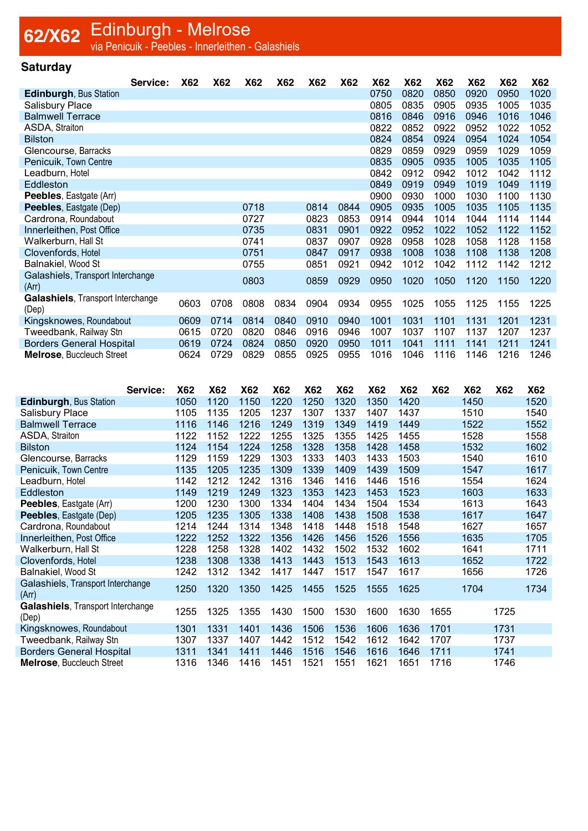## **62/X62** Edinburgh - Melrose<br>Via Penicuik - Peebles - Innerleithen - Galashiels

#### **Saturday**

|                                   | Service: | <b>X62</b> | X62  | X62  | X62  | <b>X62</b> | X62  | X62  | X62  | X62  | X62  | <b>X62</b> | X62  |
|-----------------------------------|----------|------------|------|------|------|------------|------|------|------|------|------|------------|------|
| <b>Edinburgh, Bus Station</b>     |          |            |      |      |      |            |      | 0750 | 0820 | 0850 | 0920 | 0950       | 1020 |
| <b>Salisbury Place</b>            |          |            |      |      |      |            |      | 0805 | 0835 | 0905 | 0935 | 1005       | 1035 |
| <b>Balmwell Terrace</b>           |          |            |      |      |      |            |      | 0816 | 0846 | 0916 | 0946 | 1016       | 1046 |
| ASDA, Straiton                    |          |            |      |      |      |            |      | 0822 | 0852 | 0922 | 0952 | 1022       | 1052 |
| <b>Bilston</b>                    |          |            |      |      |      |            |      | 0824 | 0854 | 0924 | 0954 | 1024       | 1054 |
| Glencourse, Barracks              |          |            |      |      |      |            |      | 0829 | 0859 | 0929 | 0959 | 1029       | 1059 |
| Penicuik, Town Centre             |          |            |      |      |      |            |      | 0835 | 0905 | 0935 | 1005 | 1035       | 1105 |
| Leadburn, Hotel                   |          |            |      |      |      |            |      | 0842 | 0912 | 0942 | 1012 | 1042       | 1112 |
| Eddleston                         |          |            |      |      |      |            |      | 0849 | 0919 | 0949 | 1019 | 1049       | 1119 |
| <b>Peebles, Eastgate (Arr)</b>    |          |            |      |      |      |            |      | 0900 | 0930 | 1000 | 1030 | 1100       | 1130 |
| <b>Peebles, Eastgate (Dep)</b>    |          |            |      | 0718 |      | 0814       | 0844 | 0905 | 0935 | 1005 | 1035 | 1105       | 1135 |
| Cardrona, Roundabout              |          |            |      | 0727 |      | 0823       | 0853 | 0914 | 0944 | 1014 | 1044 | 1114       | 1144 |
| Innerleithen, Post Office         |          |            |      | 0735 |      | 0831       | 0901 | 0922 | 0952 | 1022 | 1052 | 1122       | 1152 |
| Walkerburn, Hall St               |          |            |      | 0741 |      | 0837       | 0907 | 0928 | 0958 | 1028 | 1058 | 1128       | 1158 |
| Clovenfords, Hotel                |          |            |      | 0751 |      | 0847       | 0917 | 0938 | 1008 | 1038 | 1108 | 1138       | 1208 |
| Balnakiel, Wood St                |          |            |      | 0755 |      | 0851       | 0921 | 0942 | 1012 | 1042 | 1112 | 1142       | 1212 |
| Galashiels, Transport Interchange |          |            |      | 0803 |      | 0859       | 0929 | 0950 | 1020 | 1050 | 1120 | 1150       | 1220 |
| (Arr)                             |          |            |      |      |      |            |      |      |      |      |      |            |      |
| Galashiels, Transport Interchange |          | 0603       | 0708 | 0808 | 0834 | 0904       | 0934 | 0955 | 1025 | 1055 | 1125 | 1155       | 1225 |
| (Dep)                             |          |            |      |      |      |            |      |      |      |      |      |            |      |
| Kingsknowes, Roundabout           |          | 0609       | 0714 | 0814 | 0840 | 0910       | 0940 | 1001 | 1031 | 1101 | 1131 | 1201       | 1231 |
| Tweedbank, Railway Stn            |          | 0615       | 0720 | 0820 | 0846 | 0916       | 0946 | 1007 | 1037 | 1107 | 1137 | 1207       | 1237 |
| <b>Borders General Hospital</b>   |          | 0619       | 0724 | 0824 | 0850 | 0920       | 0950 | 1011 | 1041 | 1111 | 1141 | 1211       | 1241 |
| <b>Melrose, Buccleuch Street</b>  |          | 0624       | 0729 | 0829 | 0855 | 0925       | 0955 | 1016 | 1046 | 1116 | 1146 | 1216       | 1246 |

|                                                   | Service: | X62  | <b>X62</b> | X62  | X62  | X62  | X62  | <b>X62</b> | X62  | <b>X62</b> | X62  | <b>X62</b> | <b>X62</b> |
|---------------------------------------------------|----------|------|------------|------|------|------|------|------------|------|------------|------|------------|------------|
| <b>Edinburgh, Bus Station</b>                     |          | 1050 | 1120       | 1150 | 1220 | 1250 | 1320 | 1350       | 1420 |            | 1450 |            | 1520       |
| <b>Salisbury Place</b>                            |          | 1105 | 1135       | 1205 | 1237 | 1307 | 1337 | 1407       | 1437 |            | 1510 |            | 1540       |
| <b>Balmwell Terrace</b>                           |          | 1116 | 1146       | 1216 | 1249 | 1319 | 1349 | 1419       | 1449 |            | 1522 |            | 1552       |
| ASDA, Straiton                                    |          | 1122 | 1152       | 1222 | 1255 | 1325 | 1355 | 1425       | 1455 |            | 1528 |            | 1558       |
| <b>Bilston</b>                                    |          | 1124 | 1154       | 1224 | 1258 | 1328 | 1358 | 1428       | 1458 |            | 1532 |            | 1602       |
| Glencourse, Barracks                              |          | 1129 | 1159       | 1229 | 1303 | 1333 | 1403 | 1433       | 1503 |            | 1540 |            | 1610       |
| Penicuik, Town Centre                             |          | 1135 | 1205       | 1235 | 1309 | 1339 | 1409 | 1439       | 1509 |            | 1547 |            | 1617       |
| Leadburn, Hotel                                   |          | 1142 | 1212       | 1242 | 1316 | 1346 | 1416 | 1446       | 1516 |            | 1554 |            | 1624       |
| Eddleston                                         |          | 1149 | 1219       | 1249 | 1323 | 1353 | 1423 | 1453       | 1523 |            | 1603 |            | 1633       |
| <b>Peebles, Eastgate (Arr)</b>                    |          | 1200 | 1230       | 1300 | 1334 | 1404 | 1434 | 1504       | 1534 |            | 1613 |            | 1643       |
| <b>Peebles, Eastgate (Dep)</b>                    |          | 1205 | 1235       | 1305 | 1338 | 1408 | 1438 | 1508       | 1538 |            | 1617 |            | 1647       |
| Cardrona, Roundabout                              |          | 1214 | 1244       | 1314 | 1348 | 1418 | 1448 | 1518       | 1548 |            | 1627 |            | 1657       |
| Innerleithen, Post Office                         |          | 1222 | 1252       | 1322 | 1356 | 1426 | 1456 | 1526       | 1556 |            | 1635 |            | 1705       |
| Walkerburn, Hall St                               |          | 1228 | 1258       | 1328 | 1402 | 1432 | 1502 | 1532       | 1602 |            | 1641 |            | 1711       |
| Clovenfords, Hotel                                |          | 1238 | 1308       | 1338 | 1413 | 1443 | 1513 | 1543       | 1613 |            | 1652 |            | 1722       |
| Balnakiel, Wood St                                |          | 1242 | 1312       | 1342 | 1417 | 1447 | 1517 | 1547       | 1617 |            | 1656 |            | 1726       |
| Galashiels, Transport Interchange<br>(Arr)        |          | 1250 | 1320       | 1350 | 1425 | 1455 | 1525 | 1555       | 1625 |            | 1704 |            | 1734       |
| <b>Galashiels, Transport Interchange</b><br>(Dep) |          | 1255 | 1325       | 1355 | 1430 | 1500 | 1530 | 1600       | 1630 | 1655       |      | 1725       |            |
| Kingsknowes, Roundabout                           |          | 1301 | 1331       | 1401 | 1436 | 1506 | 1536 | 1606       | 1636 | 1701       |      | 1731       |            |
| Tweedbank, Railway Stn                            |          | 1307 | 1337       | 1407 | 1442 | 1512 | 1542 | 1612       | 1642 | 1707       |      | 1737       |            |
| <b>Borders General Hospital</b>                   |          | 1311 | 1341       | 1411 | 1446 | 1516 | 1546 | 1616       | 1646 | 1711       |      | 1741       |            |
| <b>Melrose, Buccleuch Street</b>                  |          | 1316 | 1346       | 1416 | 1451 | 1521 | 1551 | 1621       | 1651 | 1716       |      | 1746       |            |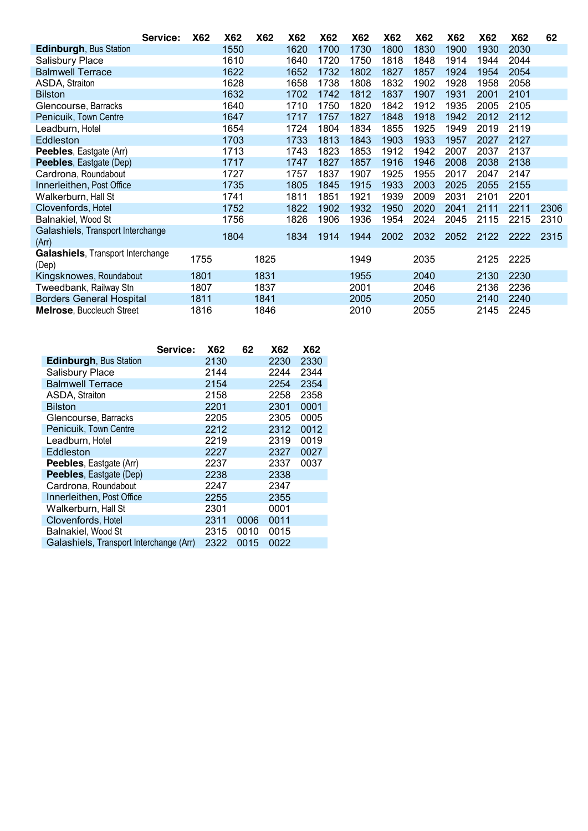|                                                   | Service: | <b>X62</b> | <b>X62</b> | <b>X62</b> | X62  | X62  | X62  | <b>X62</b> | X62  | X62  | X62  | X62  | 62   |
|---------------------------------------------------|----------|------------|------------|------------|------|------|------|------------|------|------|------|------|------|
| <b>Edinburgh, Bus Station</b>                     |          |            | 1550       |            | 1620 | 1700 | 1730 | 1800       | 1830 | 1900 | 1930 | 2030 |      |
| <b>Salisbury Place</b>                            |          |            | 1610       |            | 1640 | 1720 | 1750 | 1818       | 1848 | 1914 | 1944 | 2044 |      |
| <b>Balmwell Terrace</b>                           |          |            | 1622       |            | 1652 | 1732 | 1802 | 1827       | 1857 | 1924 | 1954 | 2054 |      |
| ASDA, Straiton                                    |          |            | 1628       |            | 1658 | 1738 | 1808 | 1832       | 1902 | 1928 | 1958 | 2058 |      |
| <b>Bilston</b>                                    |          |            | 1632       |            | 1702 | 1742 | 1812 | 1837       | 1907 | 1931 | 2001 | 2101 |      |
| Glencourse, Barracks                              |          |            | 1640       |            | 1710 | 1750 | 1820 | 1842       | 1912 | 1935 | 2005 | 2105 |      |
| Penicuik, Town Centre                             |          |            | 1647       |            | 1717 | 1757 | 1827 | 1848       | 1918 | 1942 | 2012 | 2112 |      |
| Leadburn, Hotel                                   |          |            | 1654       |            | 1724 | 1804 | 1834 | 1855       | 1925 | 1949 | 2019 | 2119 |      |
| Eddleston                                         |          |            | 1703       |            | 1733 | 1813 | 1843 | 1903       | 1933 | 1957 | 2027 | 2127 |      |
| Peebles, Eastgate (Arr)                           |          |            | 1713       |            | 1743 | 1823 | 1853 | 1912       | 1942 | 2007 | 2037 | 2137 |      |
| <b>Peebles, Eastgate (Dep)</b>                    |          |            | 1717       |            | 1747 | 1827 | 1857 | 1916       | 1946 | 2008 | 2038 | 2138 |      |
| Cardrona, Roundabout                              |          |            | 1727       |            | 1757 | 1837 | 1907 | 1925       | 1955 | 2017 | 2047 | 2147 |      |
| Innerleithen, Post Office                         |          |            | 1735       |            | 1805 | 1845 | 1915 | 1933       | 2003 | 2025 | 2055 | 2155 |      |
| Walkerburn, Hall St                               |          |            | 1741       |            | 1811 | 1851 | 1921 | 1939       | 2009 | 2031 | 2101 | 2201 |      |
| Clovenfords, Hotel                                |          |            | 1752       |            | 1822 | 1902 | 1932 | 1950       | 2020 | 2041 | 2111 | 2211 | 2306 |
| Balnakiel, Wood St                                |          |            | 1756       |            | 1826 | 1906 | 1936 | 1954       | 2024 | 2045 | 2115 | 2215 | 2310 |
| Galashiels, Transport Interchange<br>(Arr)        |          |            | 1804       |            | 1834 | 1914 | 1944 | 2002       | 2032 | 2052 | 2122 | 2222 | 2315 |
| <b>Galashiels, Transport Interchange</b><br>(Dep) |          | 1755       |            | 1825       |      |      | 1949 |            | 2035 |      | 2125 | 2225 |      |
| Kingsknowes, Roundabout                           |          | 1801       |            | 1831       |      |      | 1955 |            | 2040 |      | 2130 | 2230 |      |
| Tweedbank, Railway Stn                            |          | 1807       |            | 1837       |      |      | 2001 |            | 2046 |      | 2136 | 2236 |      |
| <b>Borders General Hospital</b>                   |          | 1811       |            | 1841       |      |      | 2005 |            | 2050 |      | 2140 | 2240 |      |
| <b>Melrose, Buccleuch Street</b>                  |          | 1816       |            | 1846       |      |      | 2010 |            | 2055 |      | 2145 | 2245 |      |

|                                         | Service: | <b>X62</b> | 62   | X62  | X62  |
|-----------------------------------------|----------|------------|------|------|------|
| <b>Edinburgh, Bus Station</b>           |          | 2130       |      | 2230 | 2330 |
| <b>Salisbury Place</b>                  |          | 2144       |      | 2244 | 2344 |
| <b>Balmwell Terrace</b>                 |          | 2154       |      | 2254 | 2354 |
| ASDA, Straiton                          |          | 2158       |      | 2258 | 2358 |
| <b>Bilston</b>                          |          | 2201       |      | 2301 | 0001 |
| Glencourse, Barracks                    |          | 2205       |      | 2305 | 0005 |
| Penicuik, Town Centre                   |          | 2212       |      | 2312 | 0012 |
| Leadburn, Hotel                         |          | 2219       |      | 2319 | 0019 |
| Eddleston                               |          | 2227       |      | 2327 | 0027 |
| <b>Peebles, Eastgate (Arr)</b>          |          | 2237       |      | 2337 | 0037 |
| <b>Peebles, Eastgate (Dep)</b>          |          | 2238       |      | 2338 |      |
| Cardrona, Roundabout                    |          | 2247       |      | 2347 |      |
| Innerleithen, Post Office               |          | 2255       |      | 2355 |      |
| Walkerburn, Hall St                     |          | 2301       |      | 0001 |      |
| Clovenfords, Hotel                      |          | 2311       | 0006 | 0011 |      |
| Balnakiel, Wood St                      |          | 2315       | 0010 | 0015 |      |
| Galashiels, Transport Interchange (Arr) |          | 2322       | 0015 | 0022 |      |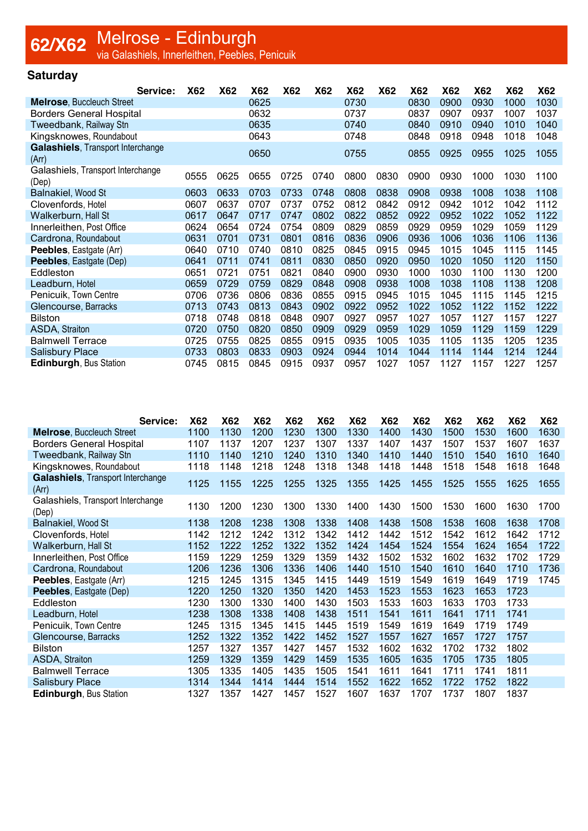### **Saturday**

| Service:                                   | X62  | X62  | X62  | <b>X62</b> | X62  | X62  | X62  | X62  | X62  | <b>X62</b> | X62  | X62  |
|--------------------------------------------|------|------|------|------------|------|------|------|------|------|------------|------|------|
| <b>Melrose, Buccleuch Street</b>           |      |      | 0625 |            |      | 0730 |      | 0830 | 0900 | 0930       | 1000 | 1030 |
| <b>Borders General Hospital</b>            |      |      | 0632 |            |      | 0737 |      | 0837 | 0907 | 0937       | 1007 | 1037 |
| Tweedbank, Railway Stn                     |      |      | 0635 |            |      | 0740 |      | 0840 | 0910 | 0940       | 1010 | 1040 |
| Kingsknowes, Roundabout                    |      |      | 0643 |            |      | 0748 |      | 0848 | 0918 | 0948       | 1018 | 1048 |
| Galashiels, Transport Interchange<br>(Arr) |      |      | 0650 |            |      | 0755 |      | 0855 | 0925 | 0955       | 1025 | 1055 |
| Galashiels, Transport Interchange<br>(Dep) | 0555 | 0625 | 0655 | 0725       | 0740 | 0800 | 0830 | 0900 | 0930 | 1000       | 1030 | 1100 |
| Balnakiel, Wood St                         | 0603 | 0633 | 0703 | 0733       | 0748 | 0808 | 0838 | 0908 | 0938 | 1008       | 1038 | 1108 |
| Clovenfords, Hotel                         | 0607 | 0637 | 0707 | 0737       | 0752 | 0812 | 0842 | 0912 | 0942 | 1012       | 1042 | 1112 |
| Walkerburn, Hall St                        | 0617 | 0647 | 0717 | 0747       | 0802 | 0822 | 0852 | 0922 | 0952 | 1022       | 1052 | 1122 |
| Innerleithen, Post Office                  | 0624 | 0654 | 0724 | 0754       | 0809 | 0829 | 0859 | 0929 | 0959 | 1029       | 1059 | 1129 |
| Cardrona, Roundabout                       | 0631 | 0701 | 0731 | 0801       | 0816 | 0836 | 0906 | 0936 | 1006 | 1036       | 1106 | 1136 |
| <b>Peebles, Eastgate (Arr)</b>             | 0640 | 0710 | 0740 | 0810       | 0825 | 0845 | 0915 | 0945 | 1015 | 1045       | 1115 | 1145 |
| Peebles, Eastgate (Dep)                    | 0641 | 0711 | 0741 | 0811       | 0830 | 0850 | 0920 | 0950 | 1020 | 1050       | 1120 | 1150 |
| Eddleston                                  | 0651 | 0721 | 0751 | 0821       | 0840 | 0900 | 0930 | 1000 | 1030 | 1100       | 1130 | 1200 |
| Leadburn, Hotel                            | 0659 | 0729 | 0759 | 0829       | 0848 | 0908 | 0938 | 1008 | 1038 | 1108       | 1138 | 1208 |
| Penicuik, Town Centre                      | 0706 | 0736 | 0806 | 0836       | 0855 | 0915 | 0945 | 1015 | 1045 | 1115       | 1145 | 1215 |
| Glencourse, Barracks                       | 0713 | 0743 | 0813 | 0843       | 0902 | 0922 | 0952 | 1022 | 1052 | 1122       | 1152 | 1222 |
| <b>Bilston</b>                             | 0718 | 0748 | 0818 | 0848       | 0907 | 0927 | 0957 | 1027 | 1057 | 1127       | 1157 | 1227 |
| ASDA, Straiton                             | 0720 | 0750 | 0820 | 0850       | 0909 | 0929 | 0959 | 1029 | 1059 | 1129       | 1159 | 1229 |
| <b>Balmwell Terrace</b>                    | 0725 | 0755 | 0825 | 0855       | 0915 | 0935 | 1005 | 1035 | 1105 | 1135       | 1205 | 1235 |
| <b>Salisbury Place</b>                     | 0733 | 0803 | 0833 | 0903       | 0924 | 0944 | 1014 | 1044 | 1114 | 1144       | 1214 | 1244 |
| Edinburgh, Bus Station                     | 0745 | 0815 | 0845 | 0915       | 0937 | 0957 | 1027 | 1057 | 1127 | 1157       | 1227 | 1257 |

| Service:                                   | <b>X62</b> | <b>X62</b> | <b>X62</b> | X62  | <b>X62</b> | <b>X62</b> | <b>X62</b> | <b>X62</b> | X62  | <b>X62</b> | X62  | <b>X62</b> |
|--------------------------------------------|------------|------------|------------|------|------------|------------|------------|------------|------|------------|------|------------|
| <b>Melrose, Buccleuch Street</b>           | 1100       | 1130       | 1200       | 1230 | 1300       | 1330       | 1400       | 1430       | 1500 | 1530       | 1600 | 1630       |
| <b>Borders General Hospital</b>            | 1107       | 1137       | 1207       | 1237 | 1307       | 1337       | 1407       | 1437       | 1507 | 1537       | 1607 | 1637       |
| Tweedbank, Railway Stn                     | 1110       | 1140       | 1210       | 1240 | 1310       | 1340       | 1410       | 1440       | 1510 | 1540       | 1610 | 1640       |
| Kingsknowes, Roundabout                    | 1118       | 1148       | 1218       | 1248 | 1318       | 1348       | 1418       | 1448       | 1518 | 1548       | 1618 | 1648       |
| Galashiels, Transport Interchange<br>(Arr) | 1125       | 1155       | 1225       | 1255 | 1325       | 1355       | 1425       | 1455       | 1525 | 1555       | 1625 | 1655       |
| Galashiels, Transport Interchange<br>(Dep) | 1130       | 1200       | 1230       | 1300 | 1330       | 1400       | 1430       | 1500       | 1530 | 1600       | 1630 | 1700       |
| Balnakiel, Wood St                         | 1138       | 1208       | 1238       | 1308 | 1338       | 1408       | 1438       | 1508       | 1538 | 1608       | 1638 | 1708       |
| Clovenfords, Hotel                         | 1142       | 1212       | 1242       | 1312 | 1342       | 1412       | 1442       | 1512       | 1542 | 1612       | 1642 | 1712       |
| Walkerburn, Hall St                        | 1152       | 1222       | 1252       | 1322 | 1352       | 1424       | 1454       | 1524       | 1554 | 1624       | 1654 | 1722       |
| Innerleithen, Post Office                  | 1159       | 1229       | 1259       | 1329 | 1359       | 1432       | 1502       | 1532       | 1602 | 1632       | 1702 | 1729       |
| Cardrona, Roundabout                       | 1206       | 1236       | 1306       | 1336 | 1406       | 1440       | 1510       | 1540       | 1610 | 1640       | 1710 | 1736       |
| Peebles, Eastgate (Arr)                    | 1215       | 1245       | 1315       | 1345 | 1415       | 1449       | 1519       | 1549       | 1619 | 1649       | 1719 | 1745       |
| <b>Peebles, Eastgate (Dep)</b>             | 1220       | 1250       | 1320       | 1350 | 1420       | 1453       | 1523       | 1553       | 1623 | 1653       | 1723 |            |
| Eddleston                                  | 1230       | 1300       | 1330       | 1400 | 1430       | 1503       | 1533       | 1603       | 1633 | 1703       | 1733 |            |
| Leadburn, Hotel                            | 1238       | 1308       | 1338       | 1408 | 1438       | 1511       | 1541       | 1611       | 1641 | 1711       | 1741 |            |
| Penicuik, Town Centre                      | 1245       | 1315       | 1345       | 1415 | 1445       | 1519       | 1549       | 1619       | 1649 | 1719       | 1749 |            |
| Glencourse, Barracks                       | 1252       | 1322       | 1352       | 1422 | 1452       | 1527       | 1557       | 1627       | 1657 | 1727       | 1757 |            |
| <b>Bilston</b>                             | 1257       | 1327       | 1357       | 1427 | 1457       | 1532       | 1602       | 1632       | 1702 | 1732       | 1802 |            |
| ASDA, Straiton                             | 1259       | 1329       | 1359       | 1429 | 1459       | 1535       | 1605       | 1635       | 1705 | 1735       | 1805 |            |
| <b>Balmwell Terrace</b>                    | 1305       | 1335       | 1405       | 1435 | 1505       | 1541       | 1611       | 1641       | 1711 | 1741       | 1811 |            |
| <b>Salisbury Place</b>                     | 1314       | 1344       | 1414       | 1444 | 1514       | 1552       | 1622       | 1652       | 1722 | 1752       | 1822 |            |
| Edinburgh, Bus Station                     | 1327       | 1357       | 1427       | 1457 | 1527       | 1607       | 1637       | 1707       | 1737 | 1807       | 1837 |            |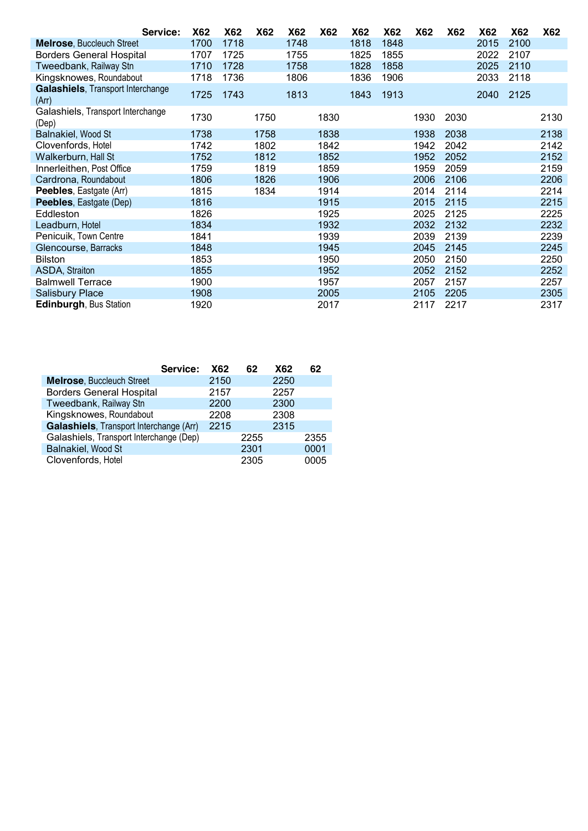| Service:                                   | X62  | <b>X62</b> | <b>X62</b> | X62  | <b>X62</b> | X62  | <b>X62</b> | <b>X62</b> | X62  | X62  | <b>X62</b> | <b>X62</b> |
|--------------------------------------------|------|------------|------------|------|------------|------|------------|------------|------|------|------------|------------|
| <b>Melrose, Buccleuch Street</b>           | 1700 | 1718       |            | 1748 |            | 1818 | 1848       |            |      | 2015 | 2100       |            |
| <b>Borders General Hospital</b>            | 1707 | 1725       |            | 1755 |            | 1825 | 1855       |            |      | 2022 | 2107       |            |
| Tweedbank, Railway Stn                     | 1710 | 1728       |            | 1758 |            | 1828 | 1858       |            |      | 2025 | 2110       |            |
| Kingsknowes, Roundabout                    | 1718 | 1736       |            | 1806 |            | 1836 | 1906       |            |      | 2033 | 2118       |            |
| Galashiels, Transport Interchange<br>(Arr) | 1725 | 1743       |            | 1813 |            | 1843 | 1913       |            |      | 2040 | 2125       |            |
| Galashiels, Transport Interchange<br>(Dep) | 1730 |            | 1750       |      | 1830       |      |            | 1930       | 2030 |      |            | 2130       |
| Balnakiel, Wood St                         | 1738 |            | 1758       |      | 1838       |      |            | 1938       | 2038 |      |            | 2138       |
| Clovenfords, Hotel                         | 1742 |            | 1802       |      | 1842       |      |            | 1942       | 2042 |      |            | 2142       |
| <b>Walkerburn, Hall St</b>                 | 1752 |            | 1812       |      | 1852       |      |            | 1952       | 2052 |      |            | 2152       |
| Innerleithen, Post Office                  | 1759 |            | 1819       |      | 1859       |      |            | 1959       | 2059 |      |            | 2159       |
| Cardrona, Roundabout                       | 1806 |            | 1826       |      | 1906       |      |            | 2006       | 2106 |      |            | 2206       |
| Peebles, Eastgate (Arr)                    | 1815 |            | 1834       |      | 1914       |      |            | 2014       | 2114 |      |            | 2214       |
| <b>Peebles, Eastgate (Dep)</b>             | 1816 |            |            |      | 1915       |      |            | 2015       | 2115 |      |            | 2215       |
| Eddleston                                  | 1826 |            |            |      | 1925       |      |            | 2025       | 2125 |      |            | 2225       |
| Leadburn, Hotel                            | 1834 |            |            |      | 1932       |      |            | 2032       | 2132 |      |            | 2232       |
| Penicuik, Town Centre                      | 1841 |            |            |      | 1939       |      |            | 2039       | 2139 |      |            | 2239       |
| Glencourse, Barracks                       | 1848 |            |            |      | 1945       |      |            | 2045       | 2145 |      |            | 2245       |
| Bilston                                    | 1853 |            |            |      | 1950       |      |            | 2050       | 2150 |      |            | 2250       |
| ASDA, Straiton                             | 1855 |            |            |      | 1952       |      |            | 2052       | 2152 |      |            | 2252       |
| <b>Balmwell Terrace</b>                    | 1900 |            |            |      | 1957       |      |            | 2057       | 2157 |      |            | 2257       |
| <b>Salisbury Place</b>                     | 1908 |            |            |      | 2005       |      |            | 2105       | 2205 |      |            | 2305       |
| <b>Edinburgh, Bus Station</b>              | 1920 |            |            |      | 2017       |      |            | 2117       | 2217 |      |            | 2317       |

|                                         | Service:<br><b>X62</b> | 62   | X62  | 62   |
|-----------------------------------------|------------------------|------|------|------|
| <b>Melrose, Buccleuch Street</b>        | 2150                   |      | 2250 |      |
| <b>Borders General Hospital</b>         | 2157                   |      | 2257 |      |
| Tweedbank, Railway Stn                  | 2200                   |      | 2300 |      |
| Kingsknowes, Roundabout                 | 2208                   |      | 2308 |      |
| Galashiels, Transport Interchange (Arr) | 2215                   |      | 2315 |      |
| Galashiels, Transport Interchange (Dep) |                        | 2255 |      | 2355 |
| Balnakiel, Wood St                      |                        | 2301 |      | 0001 |
| Clovenfords, Hotel                      |                        | 2305 |      | 0005 |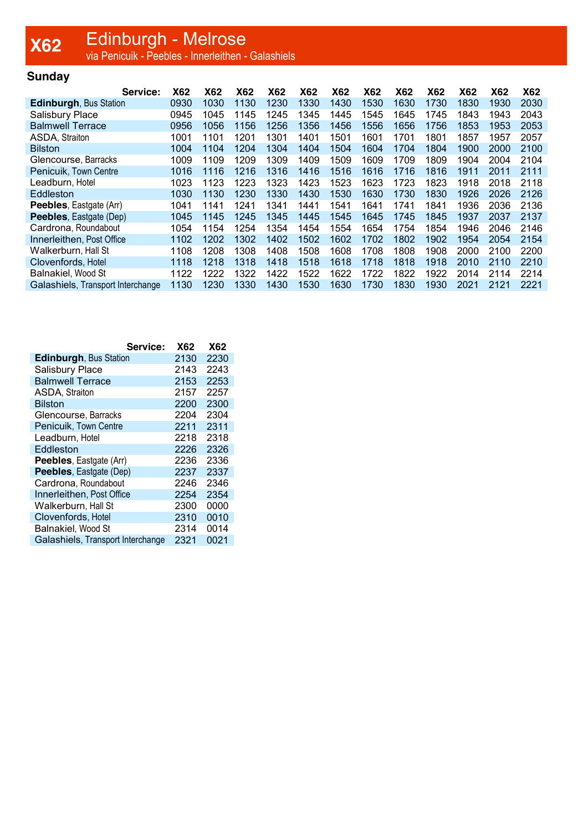### **X62** Edinburgh - Melrose<br>Version - Peebles - Innerleithen - Galashiels

### **Sunday**

| Service:                          | X62  | X62  | X62  | <b>X62</b> | <b>X62</b> | X62  | <b>X62</b> | <b>X62</b> | X62  | <b>X62</b> | <b>X62</b> | <b>X62</b> |
|-----------------------------------|------|------|------|------------|------------|------|------------|------------|------|------------|------------|------------|
| Edinburgh, Bus Station            | 0930 | 1030 | 1130 | 1230       | 1330       | 1430 | 1530       | 1630       | 1730 | 1830       | 1930       | 2030       |
| <b>Salisbury Place</b>            | 0945 | 1045 | 1145 | 1245       | 1345       | 1445 | 1545       | 1645       | 1745 | 1843       | 1943       | 2043       |
| <b>Balmwell Terrace</b>           | 0956 | 1056 | 1156 | 1256       | 1356       | 1456 | 1556       | 1656       | 1756 | 1853       | 1953       | 2053       |
| ASDA, Straiton                    | 1001 | 1101 | 1201 | 1301       | 1401       | 1501 | 1601       | 1701       | 1801 | 1857       | 1957       | 2057       |
| <b>Bilston</b>                    | 1004 | 1104 | 1204 | 1304       | 1404       | 1504 | 1604       | 1704       | 1804 | 1900       | 2000       | 2100       |
| Glencourse, Barracks              | 1009 | 1109 | 1209 | 1309       | 1409       | 1509 | 1609       | 1709       | 1809 | 1904       | 2004       | 2104       |
| Penicuik, Town Centre             | 1016 | 1116 | 1216 | 1316       | 1416       | 1516 | 1616       | 1716       | 1816 | 1911       | 2011       | 2111       |
| Leadburn, Hotel                   | 1023 | 1123 | 1223 | 1323       | 1423       | 1523 | 1623       | 1723       | 1823 | 1918       | 2018       | 2118       |
| Eddleston                         | 1030 | 1130 | 1230 | 1330       | 1430       | 1530 | 1630       | 1730       | 1830 | 1926       | 2026       | 2126       |
| Peebles, Eastgate (Arr)           | 1041 | 1141 | 1241 | 1341       | 1441       | 1541 | 1641       | 1741       | 1841 | 1936       | 2036       | 2136       |
| Peebles, Eastgate (Dep)           | 1045 | 1145 | 1245 | 1345       | 1445       | 1545 | 1645       | 1745       | 1845 | 1937       | 2037       | 2137       |
| Cardrona, Roundabout              | 1054 | 1154 | 1254 | 1354       | 1454       | 1554 | 1654       | 1754       | 1854 | 1946       | 2046       | 2146       |
| Innerleithen, Post Office         | 1102 | 1202 | 1302 | 1402       | 1502       | 1602 | 1702       | 1802       | 1902 | 1954       | 2054       | 2154       |
| Walkerburn, Hall St               | 1108 | 1208 | 1308 | 1408       | 1508       | 1608 | 1708       | 1808       | 1908 | 2000       | 2100       | 2200       |
| Clovenfords, Hotel                | 1118 | 1218 | 1318 | 1418       | 1518       | 1618 | 1718       | 1818       | 1918 | 2010       | 2110       | 2210       |
| Balnakiel, Wood St                | 1122 | 1222 | 1322 | 1422       | 1522       | 1622 | 1722       | 1822       | 1922 | 2014       | 2114       | 2214       |
| Galashiels. Transport Interchange | 1130 | 1230 | 1330 | 1430       | 1530       | 1630 | 1730       | 1830       | 1930 | 2021       | 2121       | 2221       |

|                                   | Service: | <b>X62</b> | <b>X62</b> |
|-----------------------------------|----------|------------|------------|
| <b>Edinburgh, Bus Station</b>     |          | 2130       | 2230       |
| <b>Salisbury Place</b>            |          | 2143       | 2243       |
| <b>Balmwell Terrace</b>           |          | 2153       | 2253       |
| ASDA, Straiton                    |          | 2157       | 2257       |
| <b>Bilston</b>                    |          | 2200       | 2300       |
| Glencourse, Barracks              |          | 2204       | 2304       |
| Penicuik, Town Centre             |          | 2211       | 2311       |
| Leadburn, Hotel                   |          | 2218       | 2318       |
| Eddleston                         |          | 2226       | 2326       |
| Peebles, Eastgate (Arr)           |          | 2236       | 2336       |
| Peebles, Eastgate (Dep)           |          | 2237       | 2337       |
| Cardrona, Roundabout              |          | 2246       | 2346       |
| Innerleithen, Post Office         |          | 2254       | 2354       |
| Walkerburn, Hall St               |          | 2300       | 0000       |
| Clovenfords, Hotel                |          | 2310       | 0010       |
| Balnakiel, Wood St                |          | 2314       | 0014       |
| Galashiels, Transport Interchange |          | 2321       | 0021       |